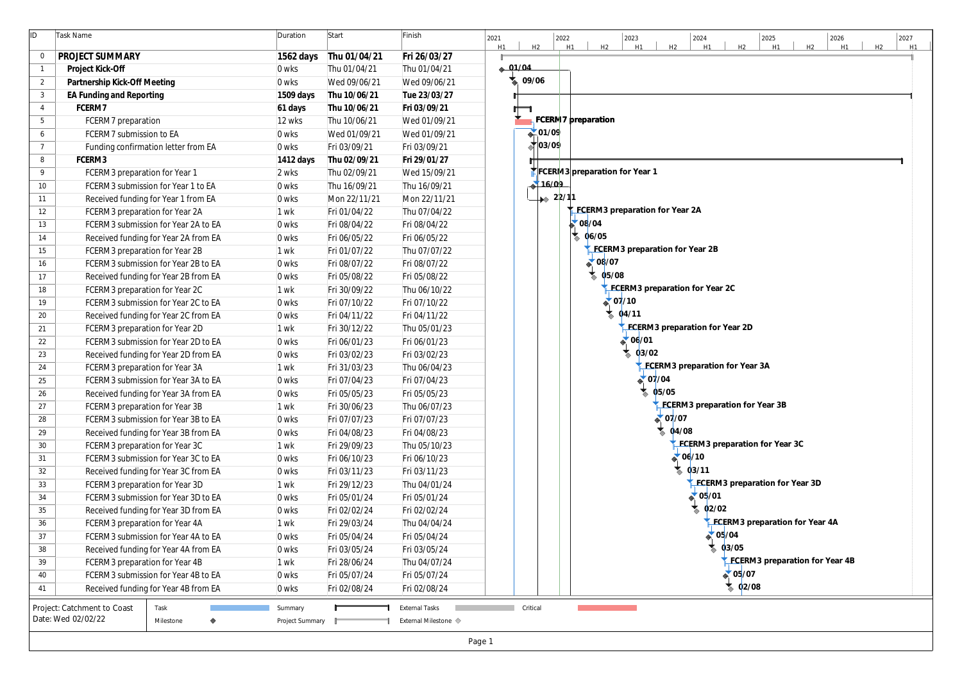| ID              | Task Name                                                             | Duration        | Start                        | Finish                       | 2022<br>2027<br>2021<br>2023<br>2024<br>2025<br>2026<br>H2<br>H2<br>H <sub>2</sub><br>H <sub>1</sub><br>H <sub>2</sub><br>H1<br>H1<br>H2<br>H2<br>H1<br>H1<br>H1<br>H <sub>1</sub> |
|-----------------|-----------------------------------------------------------------------|-----------------|------------------------------|------------------------------|------------------------------------------------------------------------------------------------------------------------------------------------------------------------------------|
| $\overline{0}$  | PROJECT SUMMARY                                                       | 1562 days       | Thu 01/04/21                 | Fri 26/03/27                 |                                                                                                                                                                                    |
| $\overline{1}$  | Project Kick-Off                                                      | 0 wks           | Thu 01/04/21                 | Thu 01/04/21                 | $-91/04$                                                                                                                                                                           |
| $\overline{2}$  | Partnership Kick-Off Meeting                                          | 0 wks           | Wed 09/06/21                 | Wed 09/06/21                 | 09/06                                                                                                                                                                              |
| $\mathbf{3}$    | EA Funding and Reporting                                              | 1509 days       | Thu 10/06/21                 | Tue 23/03/27                 |                                                                                                                                                                                    |
| $\overline{4}$  | FCERM7                                                                | 61 days         | Thu 10/06/21                 | Fri 03/09/21                 |                                                                                                                                                                                    |
| 5               | FCERM7 preparation                                                    | 12 wks          | Thu 10/06/21                 | Wed 01/09/21                 | FCERM17 preparation                                                                                                                                                                |
| 6               | FCERM7 submission to EA                                               | 0 wks           | Wed 01/09/21                 | Wed 01/09/21                 | $\bigoplus 01/09$                                                                                                                                                                  |
| $\overline{7}$  | Funding confirmation letter from EA                                   | 0 wks           | Fri 03/09/21                 | Fri 03/09/21                 | $\bigtriangledown$ 03/09                                                                                                                                                           |
| 8               | FCERM3                                                                | 1412 days       | Thu 02/09/21                 | Fri 29/01/27                 |                                                                                                                                                                                    |
| 9               | FCERM3 preparation for Year 1                                         | 2 wks           | Thu 02/09/21                 | Wed 15/09/21                 | FCERM3 preparation for Year 1                                                                                                                                                      |
| 10 <sup>°</sup> | FCERM3 submission for Year 1 to EA                                    | 0 wks           | Thu 16/09/21                 | Thu 16/09/21                 | 16/09                                                                                                                                                                              |
| 11              | Received funding for Year 1 from EA                                   | 0 wks           | Mon 22/11/21                 | Mon 22/11/21                 | $\rightarrow 22/11$                                                                                                                                                                |
| 12              | FCERM3 preparation for Year 2A                                        | 1 wk            | Fri 01/04/22                 | Thu 07/04/22                 | FCERM3 preparation for Year 2A                                                                                                                                                     |
| 13              | FCERM3 submission for Year 2A to EA                                   | 0 wks           | Fri 08/04/22                 | Fri 08/04/22                 | $\sim 08/04$                                                                                                                                                                       |
| 14              | Received funding for Year 2A from EA                                  | 0 wks           | Fri 06/05/22                 | Fri 06/05/22                 | $\frac{1}{2}$ 06/05                                                                                                                                                                |
| 15              | FCERM3 preparation for Year 2B                                        | 1 wk            | Fri 01/07/22                 | Thu 07/07/22                 | FECERM3 preparation for Year 2B                                                                                                                                                    |
| 16              | FCERM3 submission for Year 2B to EA                                   | 0 wks           | Fri 08/07/22                 | Fri 08/07/22                 | $\bullet$ 08/07                                                                                                                                                                    |
| 17              | Received funding for Year 2B from EA                                  | 0 wks           | Fri 05/08/22                 | Fri 05/08/22                 | 05/08                                                                                                                                                                              |
| 18              | FCERM3 preparation for Year 2C                                        | 1 wk            | Fri 30/09/22                 | Thu 06/10/22                 | FCERM3 preparation for Year 2C                                                                                                                                                     |
| 19              | FCERM3 submission for Year 2C to EA                                   | 0 wks           | Fri 07/10/22                 | Fri 07/10/22                 | $\triangle$ 07/10                                                                                                                                                                  |
| 20              | Received funding for Year 2C from EA                                  | 0 wks           | Fri 04/11/22                 | Fri 04/11/22                 | 04/11                                                                                                                                                                              |
| 21              | FCERM3 preparation for Year 2D                                        | 1 wk            | Fri 30/12/22                 | Thu 05/01/23                 | FCERM3 preparation for Year 2D                                                                                                                                                     |
| 22              | FCERM3 submission for Year 2D to EA                                   | 0 wks           | Fri 06/01/23                 | Fri 06/01/23                 | $\sqrt{06/01}$                                                                                                                                                                     |
| 23              | Received funding for Year 2D from EA                                  | 0 wks           | Fri 03/02/23                 | Fri 03/02/23                 | 03/02                                                                                                                                                                              |
| 24              | FCERM3 preparation for Year 3A                                        | 1 wk            | Fri 31/03/23                 | Thu 06/04/23                 | FCERM3 preparation for Year 3A                                                                                                                                                     |
| 25              | FCERM3 submission for Year 3A to EA                                   | 0 wks           | Fri 07/04/23                 | Fri 07/04/23                 | $\triangle 07/04$<br>05/05<br>$\blacktriangledown$                                                                                                                                 |
| 26              | Received funding for Year 3A from EA                                  | 0 wks           | Fri 05/05/23                 | Fri 05/05/23                 | FCERM3 preparation for Year 3B                                                                                                                                                     |
| 27              | FCERM3 preparation for Year 3B                                        | 1 wk            | Fri 30/06/23                 | Thu 06/07/23                 | $\triangle 07/07$                                                                                                                                                                  |
| 28              | FCERM3 submission for Year 3B to EA                                   | 0 wks           | Fri 07/07/23                 | Fri 07/07/23                 | 04/08                                                                                                                                                                              |
| 29<br>30        | Received funding for Year 3B from EA                                  | 0 wks<br>1 wk   | Fri 04/08/23<br>Fri 29/09/23 | Fri 04/08/23<br>Thu 05/10/23 | FCERM3 preparation for Year 3C                                                                                                                                                     |
| 31              | FCERM3 preparation for Year 3C<br>FCERM3 submission for Year 3C to EA | 0 wks           | Fri 06/10/23                 | Fri 06/10/23                 | $\triangle$ 06/10                                                                                                                                                                  |
| 32              | Received funding for Year 3C from EA                                  | 0 wks           | Fri 03/11/23                 | Fri 03/11/23                 | 03/11                                                                                                                                                                              |
| 33              | FCERM3 preparation for Year 3D                                        | 1 wk            | Fri 29/12/23                 | Thu 04/01/24                 | <b>FCERM3</b> preparation for Year 3D                                                                                                                                              |
| 34              | FCERM3 submission for Year 3D to EA                                   | 0 wks           | Fri 05/01/24                 | Fri 05/01/24                 | $\triangle$ 05/01                                                                                                                                                                  |
| 35              | Received funding for Year 3D from EA                                  | 0 wks           | Fri 02/02/24                 | Fri 02/02/24                 | 02/02                                                                                                                                                                              |
| 36              | FCERM3 preparation for Year 4A                                        | 1 wk            | Fri 29/03/24                 | Thu 04/04/24                 | <b>FCERM3</b> preparation for Year 4A                                                                                                                                              |
| 37              | FCERM3 submission for Year 4A to EA                                   | 0 wks           | Fri 05/04/24                 | Fri 05/04/24                 | $\triangle$ 05/04                                                                                                                                                                  |
| 38              | Received funding for Year 4A from EA                                  | 0 wks           | Fri 03/05/24                 | Fri 03/05/24                 | 03/05                                                                                                                                                                              |
| 39              | FCERM3 preparation for Year 4B                                        | 1 wk            | Fri 28/06/24                 | Thu 04/07/24                 | FCERM3 preparation for Year 4B                                                                                                                                                     |
| 40              | FCERM3 submission for Year 4B to EA                                   | 0 wks           | Fri 05/07/24                 | Fri 05/07/24                 | $\triangle$ 05/07                                                                                                                                                                  |
| 41              | Received funding for Year 4B from EA                                  | 0 wks           | Fri 02/08/24                 | Fri 02/08/24                 | 02/08                                                                                                                                                                              |
|                 | Project: Catchment to Coast<br>Task                                   | Summary         |                              | <b>External Tasks</b>        | Critical                                                                                                                                                                           |
|                 | Date: Wed 02/02/22<br>Milestone                                       | Project Summary |                              | External Milestone ♦         |                                                                                                                                                                                    |
|                 |                                                                       |                 |                              |                              |                                                                                                                                                                                    |
|                 |                                                                       |                 |                              |                              | Page 1                                                                                                                                                                             |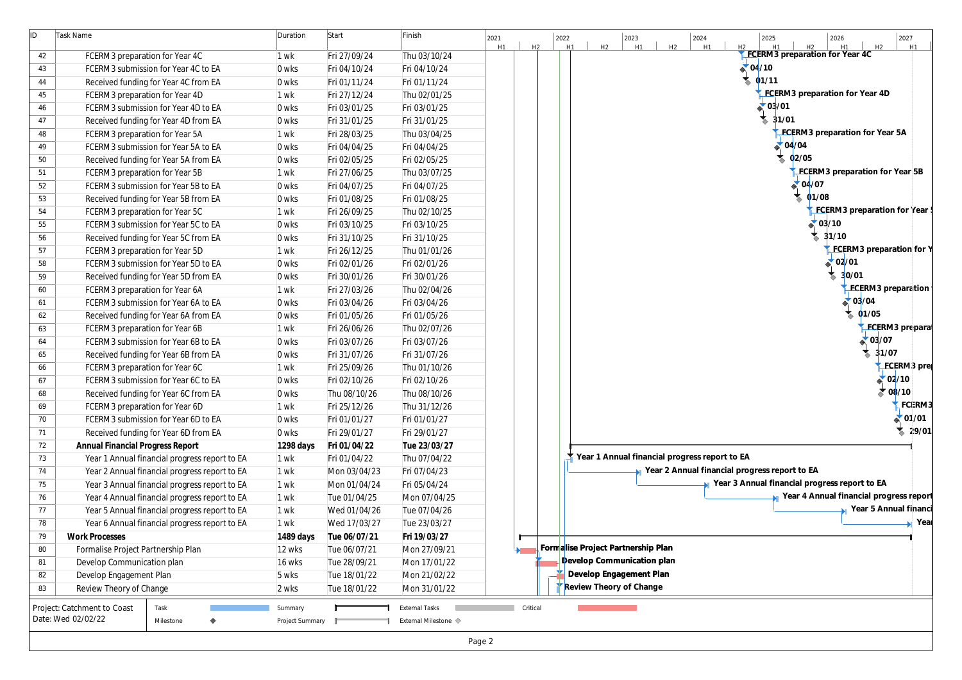| ID | Task Name                                     | Duration        | Start        | Finish                | 2027<br>2022<br>2023<br>2024<br>2025<br>2026<br>2021<br>H2<br>H1<br>H2<br>H1<br>H2<br>H2<br>H1<br>H <sub>2</sub><br>H1<br>H <sub>2</sub><br>H1<br>H1<br>H <sub>1</sub> |
|----|-----------------------------------------------|-----------------|--------------|-----------------------|------------------------------------------------------------------------------------------------------------------------------------------------------------------------|
| 42 | FCERM3 preparation for Year 4C                | 1 wk            | Fri 27/09/24 | Thu 03/10/24          | FCERM3 preparation for Year 4C                                                                                                                                         |
| 43 | FCERM3 submission for Year 4C to EA           | 0 wks           | Fri 04/10/24 | Fri 04/10/24          | 04/10                                                                                                                                                                  |
| 44 | Received funding for Year 4C from EA          | 0 wks           | Fri 01/11/24 | Fri 01/11/24          | 01/11                                                                                                                                                                  |
| 45 | FCERM3 preparation for Year 4D                | 1 wk            | Fri 27/12/24 | Thu 02/01/25          | FCERM3 preparation for Year 4D                                                                                                                                         |
| 46 | FCERM3 submission for Year 4D to EA           | 0 wks           | Fri 03/01/25 | Fri 03/01/25          | 03/01                                                                                                                                                                  |
| 47 | Received funding for Year 4D from EA          | 0 wks           | Fri 31/01/25 | Fri 31/01/25          | 31/01                                                                                                                                                                  |
| 48 | FCERM3 preparation for Year 5A                | 1 wk            | Fri 28/03/25 | Thu 03/04/25          | FCERM3 preparation for Year 5A                                                                                                                                         |
| 49 | FCERM3 submission for Year 5A to EA           | 0 wks           | Fri 04/04/25 | Fri 04/04/25          | $\triangle 04/04$                                                                                                                                                      |
| 50 | Received funding for Year 5A from EA          | 0 wks           | Fri 02/05/25 | Fri 02/05/25          | 02/05                                                                                                                                                                  |
| 51 | FCERM3 preparation for Year 5B                | 1 wk            | Fri 27/06/25 | Thu 03/07/25          | FCERM3 preparation for Year 5                                                                                                                                          |
| 52 | FCERM3 submission for Year 5B to EA           | 0 wks           | Fri 04/07/25 | Fri 04/07/25          | $\triangle$ 04/07                                                                                                                                                      |
| 53 | Received funding for Year 5B from EA          | 0 wks           | Fri 01/08/25 | Fri 01/08/25          | 01/08                                                                                                                                                                  |
| 54 | FCERM3 preparation for Year 5C                | 1 wk            | Fri 26/09/25 | Thu 02/10/25          | FCERM3 preparation for Y                                                                                                                                               |
| 55 | FCERM3 submission for Year 5C to EA           | 0 wks           | Fri 03/10/25 | Fri 03/10/25          | $\triangle$ 03/10                                                                                                                                                      |
| 56 | Received funding for Year 5C from EA          | 0 wks           | Fri 31/10/25 | Fri 31/10/25          | 31/10                                                                                                                                                                  |
| 57 | FCERM3 preparation for Year 5D                | 1 wk            | Fri 26/12/25 | Thu 01/01/26          | FCERM3 preparation f                                                                                                                                                   |
| 58 | FCERM3 submission for Year 5D to EA           | 0 wks           | Fri 02/01/26 | Fri 02/01/26          | $\triangle$ 02/01                                                                                                                                                      |
| 59 | Received funding for Year 5D from EA          | 0 wks           | Fri 30/01/26 | Fri 30/01/26          | 30/01                                                                                                                                                                  |
| 60 | FCERM3 preparation for Year 6A                | 1 wk            | Fri 27/03/26 | Thu 02/04/26          | FCERM3 preparat                                                                                                                                                        |
| 61 | FCERM3 submission for Year 6A to EA           | 0 wks           | Fri 03/04/26 | Fri 03/04/26          | $\triangle$ 03/04                                                                                                                                                      |
| 62 | Received funding for Year 6A from EA          | 0 wks           | Fri 01/05/26 | Fri 01/05/26          | 01/05                                                                                                                                                                  |
| 63 | FCERM3 preparation for Year 6B                | 1 wk            | Fri 26/06/26 | Thu 02/07/26          | <b>FCERM3</b> prep                                                                                                                                                     |
| 64 | FCERM3 submission for Year 6B to EA           | 0 wks           | Fri 03/07/26 | Fri 03/07/26          | $\triangle$ 03/07                                                                                                                                                      |
| 65 | Received funding for Year 6B from EA          | 0 wks           | Fri 31/07/26 | Fri 31/07/26          | 31/07                                                                                                                                                                  |
| 66 | FCERM3 preparation for Year 6C                | 1 wk            | Fri 25/09/26 | Thu 01/10/26          | <b>FCERM3</b>                                                                                                                                                          |
| 67 | FCERM3 submission for Year 6C to EA           | 0 wks           | Fri 02/10/26 | Fri 02/10/26          | $\triangle$ 02/10                                                                                                                                                      |
| 68 | Received funding for Year 6C from EA          | 0 wks           | Thu 08/10/26 | Thu 08/10/26          | $\sum 08/10$                                                                                                                                                           |
| 69 | FCERM3 preparation for Year 6D                | 1 wk            | Fri 25/12/26 | Thu 31/12/26          | $\zeta$ FCEI                                                                                                                                                           |
| 70 | FCERM3 submission for Year 6D to EA           | 0 wks           | Fri 01/01/27 | Fri 01/01/27          | $\triangle$ 01/                                                                                                                                                        |
| 71 | Received funding for Year 6D from EA          | 0 wks           | Fri 29/01/27 | Fri 29/01/27          | $\overline{2}$                                                                                                                                                         |
| 72 | <b>Annual Financial Progress Report</b>       | 1298 days       | Fri 01/04/22 | Tue 23/03/27          |                                                                                                                                                                        |
| 73 | Year 1 Annual financial progress report to EA | 1 wk            | Fri 01/04/22 | Thu 07/04/22          | Year 1 Annual financial progress report to EA                                                                                                                          |
| 74 | Year 2 Annual financial progress report to EA | 1 wk            | Mon 03/04/23 | Fri 07/04/23          | Year 2 Annual financial progress report to EA                                                                                                                          |
| 75 | Year 3 Annual financial progress report to EA | 1 wk            | Mon 01/04/24 | Fri 05/04/24          | Year 3 Annual financial progress report to EA                                                                                                                          |
| 76 | Year 4 Annual financial progress report to EA | 1 wk            | Tue 01/04/25 | Mon 07/04/25          | Year 4 Annual financial progress re                                                                                                                                    |
| 77 | Year 5 Annual financial progress report to EA | 1 wk            | Wed 01/04/26 | Tue 07/04/26          | Year 5 Annual fin                                                                                                                                                      |
| 78 | Year 6 Annual financial progress report to EA | 1 wk            | Wed 17/03/27 | Tue 23/03/27          |                                                                                                                                                                        |
| 79 | <b>Work Processes</b>                         | 1489 days       | Tue 06/07/21 | Fri 19/03/27          |                                                                                                                                                                        |
| 80 | Formalise Project Partnership Plan            | 12 wks          | Tue 06/07/21 | Mon 27/09/21          | Formalise Project Partnership Plan                                                                                                                                     |
| 81 | Develop Communication plan                    | 16 wks          | Tue 28/09/21 | Mon 17/01/22          | Develop Communication plan                                                                                                                                             |
| 82 | Develop Engagement Plan                       | 5 wks           | Tue 18/01/22 | Mon 21/02/22          | Develop Engagement Plan                                                                                                                                                |
| 83 | Review Theory of Change                       | 2 wks           | Tue 18/01/22 | Mon 31/01/22          | <b>Review Theory of Change</b>                                                                                                                                         |
|    | Task<br>Project: Catchment to Coast           | Summary         |              | <b>External Tasks</b> | Critical                                                                                                                                                               |
|    | Date: Wed 02/02/22<br>Milestone               | Project Summary |              | External Milestone <  |                                                                                                                                                                        |

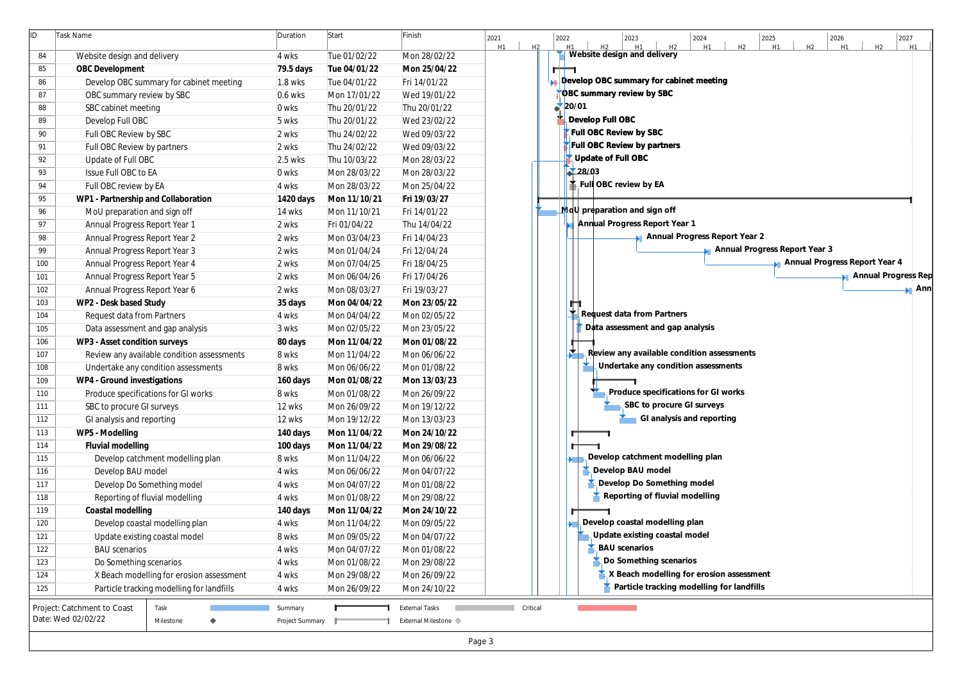| ID. | Task Name                                  | Duration        | Start        | Finish                            | 2027<br>2021<br>2022<br>2024<br>2025<br>2026<br>2023<br>H2<br>H <sub>2</sub><br>H2<br>H1<br>H2<br>H1<br>H1<br>H1<br>H2<br>H1<br>H1<br>H2<br>H1 |
|-----|--------------------------------------------|-----------------|--------------|-----------------------------------|------------------------------------------------------------------------------------------------------------------------------------------------|
| 84  | Website design and delivery                | 4 wks           | Tue 01/02/22 | Mon 28/02/22                      | Website design and delivery                                                                                                                    |
| 85  | OBC Development                            | 79.5 days       | Tue 04/01/22 | Mon 25/04/22                      | ш                                                                                                                                              |
| 86  | Develop OBC summary for cabinet meeting    | 1.8 wks         | Tue 04/01/22 | Fri 14/01/22                      | <b>Develop OBC summary for cabinet meeting</b>                                                                                                 |
| 87  | OBC summary review by SBC                  | 0.6 wks         | Mon 17/01/22 | Wed 19/01/22                      | OBC summary review by SBC                                                                                                                      |
| 88  | SBC cabinet meeting                        | 0 wks           | Thu 20/01/22 | Thu 20/01/22                      | 20/01                                                                                                                                          |
| 89  | Develop Full OBC                           | 5 wks           | Thu 20/01/22 | Wed 23/02/22                      | Develop Full OBC                                                                                                                               |
| 90  | Full OBC Review by SBC                     | 2 wks           | Thu 24/02/22 | Wed 09/03/22                      | Full OBC Review by SBC                                                                                                                         |
| 91  | Full OBC Review by partners                | 2 wks           | Thu 24/02/22 | Wed 09/03/22                      | Full OBC Review by partners                                                                                                                    |
| 92  | Update of Full OBC                         | 2.5 wks         | Thu 10/03/22 | Mon 28/03/22                      | Update of Full OBC                                                                                                                             |
| 93  | Issue Full OBC to EA                       | 0 wks           | Mon 28/03/22 | Mon 28/03/22                      | 28/03                                                                                                                                          |
| 94  | Full OBC review by EA                      | 4 wks           | Mon 28/03/22 | Mon 25/04/22                      | Full OBC review by EA                                                                                                                          |
| 95  | WP1 - Partnership and Collaboration        | 1420 days       | Mon 11/10/21 | Fri 19/03/27                      |                                                                                                                                                |
| 96  | MoU preparation and sign off               | 14 wks          | Mon 11/10/21 | Fri 14/01/22                      | MdU preparation and sign off                                                                                                                   |
| 97  | Annual Progress Report Year 1              | 2 wks           | Fri 01/04/22 | Thu 14/04/22                      | Annual Progress Report Year 1                                                                                                                  |
| 98  | Annual Progress Report Year 2              | 2 wks           | Mon 03/04/23 | Fri 14/04/23                      | Annual Progress Report Year 2                                                                                                                  |
| 99  | Annual Progress Report Year 3              | 2 wks           | Mon 01/04/24 | Fri 12/04/24                      | Annual Progress Report Year 3                                                                                                                  |
| 100 | Annual Progress Report Year 4              | 2 wks           | Mon 07/04/25 | Fri 18/04/25                      | Annual Progress Report Year 4                                                                                                                  |
| 101 | Annual Progress Report Year 5              | 2 wks           | Mon 06/04/26 | Fri 17/04/26                      | Annual Progress                                                                                                                                |
| 102 | Annual Progress Report Year 6              | 2 wks           | Mon 08/03/27 | Fri 19/03/27                      |                                                                                                                                                |
| 103 | WP2 - Desk based Study                     | 35 days         | Mon 04/04/22 | Mon 23/05/22                      | m                                                                                                                                              |
| 104 | Request data from Partners                 | 4 wks           | Mon 04/04/22 | Mon 02/05/22                      | k Request data from Partners                                                                                                                   |
| 105 | Data assessment and gap analysis           | 3 wks           | Mon 02/05/22 | Mon 23/05/22                      | Data assessment and gap analysis                                                                                                               |
| 106 | WP3 - Asset condition surveys              | 80 days         | Mon 11/04/22 | Mon 01/08/22                      |                                                                                                                                                |
| 107 | Review any available condition assessments | 8 wks           | Mon 11/04/22 | Mon 06/06/22                      | $\mathbb{R}$ Review any available condition assessments                                                                                        |
| 108 | Undertake any condition assessments        | 8 wks           | Mon 06/06/22 | Mon 01/08/22                      | Undertake any condition assessments                                                                                                            |
| 109 | WP4 - Ground investigations                | 160 days        | Mon 01/08/22 | Mon 13/03/23                      |                                                                                                                                                |
| 110 | Produce specifications for GI works        | 8 wks           | Mon 01/08/22 | Mon 26/09/22                      | Produce specifications for GI works                                                                                                            |
| 111 | SBC to procure GI surveys                  | 12 wks          | Mon 26/09/22 | Mon 19/12/22                      | SBC to procure GI surveys                                                                                                                      |
| 112 | GI analysis and reporting                  | 12 wks          | Mon 19/12/22 | Mon 13/03/23                      | GI analysis and reporting                                                                                                                      |
| 113 | WP5 - Modelling                            | 140 days        | Mon 11/04/22 | Mon 24/10/22                      |                                                                                                                                                |
| 114 | Fluvial modelling                          | 100 days        | Mon 11/04/22 | Mon 29/08/22                      |                                                                                                                                                |
| 115 | Develop catchment modelling plan           | 8 wks           | Mon 11/04/22 | Mon 06/06/22                      | $\blacktriangleright$ Develop catchment modelling plan                                                                                         |
| 116 | Develop BAU model                          | 4 wks           | Mon 06/06/22 | Mon 04/07/22                      | Develop BAU model                                                                                                                              |
| 117 | Develop Do Something model                 | 4 wks           | Mon 04/07/22 | Mon 01/08/22                      | Develop Do Something model                                                                                                                     |
| 118 | Reporting of fluvial modelling             | 4 wks           | Mon 01/08/22 | Mon 29/08/22                      | Reporting of fluvial modelling                                                                                                                 |
| 119 | Coastal modelling                          | 140 days        | Mon 11/04/22 | Mon 24/10/22                      |                                                                                                                                                |
| 120 | Develop coastal modelling plan             | 4 wks           | Mon 11/04/22 | Mon 09/05/22                      | Develop coastal modelling plan                                                                                                                 |
| 121 | Update existing coastal model              | 8 wks           | Mon 09/05/22 | Mon 04/07/22                      | Jupdate existing coastal model                                                                                                                 |
| 122 | <b>BAU</b> scenarios                       | 4 wks           | Mon 04/07/22 | Mon 01/08/22                      | <b>BAU</b> scenarios                                                                                                                           |
| 123 | Do Something scenarios                     | 4 wks           | Mon 01/08/22 | Mon 29/08/22                      | Do Something scenarios                                                                                                                         |
| 124 | X Beach modelling for erosion assessment   | 4 wks           | Mon 29/08/22 | Mon 26/09/22                      | X Beach modelling for erosion assessment                                                                                                       |
| 125 | Particle tracking modelling for landfills  | 4 wks           | Mon 26/09/22 | Mon 24/10/22                      | Particle tracking modelling for landfills                                                                                                      |
|     | Project: Catchment to Coast<br>Task        | Summary         |              | <b>External Tasks</b>             | Critical                                                                                                                                       |
|     | Date: Wed 02/02/22<br>Milestone            | Project Summary |              | External Milestone $\diamondsuit$ |                                                                                                                                                |
|     |                                            |                 |              |                                   | Page 3                                                                                                                                         |